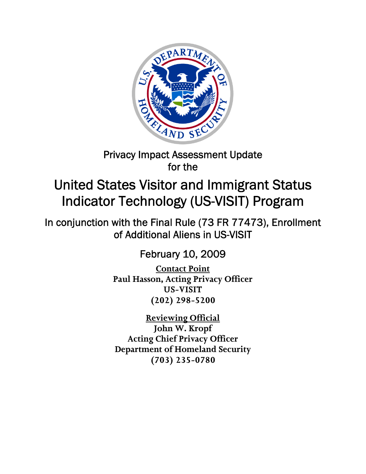

## Privacy Impact Assessment Update for the

# United States Visitor and Immigrant Status Indicator Technology (US-VISIT) Program

In conjunction with the Final Rule (73 FR 77473), Enrollment of Additional Aliens in US-VISIT

February 10, 2009

**Contact Point Paul Hasson, Acting Privacy Officer US-VISIT (202) 298-5200** 

**Reviewing Official John W. Kropf Acting Chief Privacy Officer Department of Homeland Security (703) 235-0780**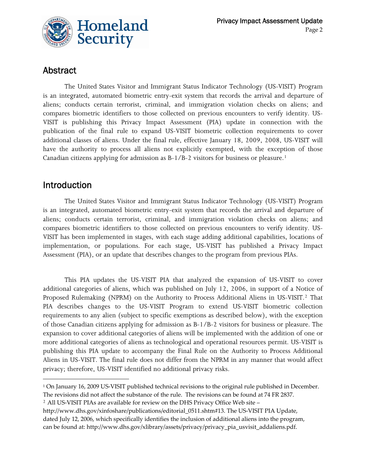

### Abstract

The United States Visitor and Immigrant Status Indicator Technology (US-VISIT) Program is an integrated, automated biometric entry-exit system that records the arrival and departure of aliens; conducts certain terrorist, criminal, and immigration violation checks on aliens; and compares biometric identifiers to those collected on previous encounters to verify identity. US-VISIT is publishing this Privacy Impact Assessment (PIA) update in connection with the publication of the final rule to expand US-VISIT biometric collection requirements to cover additional classes of aliens. Under the final rule, effective January 18, 2009, 2008, US-VISIT will have the authority to process all aliens not explicitly exempted, with the exception of those Canadian citizens applying for admission as B-1/B-2 visitors for business or pleasure.[1](#page-1-0)

### Introduction

The United States Visitor and Immigrant Status Indicator Technology (US-VISIT) Program is an integrated, automated biometric entry-exit system that records the arrival and departure of aliens; conducts certain terrorist, criminal, and immigration violation checks on aliens; and compares biometric identifiers to those collected on previous encounters to verify identity. US-VISIT has been implemented in stages, with each stage adding additional capabilities, locations of implementation, or populations. For each stage, US-VISIT has published a Privacy Impact Assessment (PIA), or an update that describes changes to the program from previous PIAs.

This PIA updates the US-VISIT PIA that analyzed the expansion of US-VISIT to cover additional categories of aliens, which was published on July 12, 2006, in support of a Notice of Proposed Rulemaking (NPRM) on the Authority to Process Additional Aliens in US-VISIT.<sup>[2](#page-1-1)</sup> That PIA describes changes to the US-VISIT Program to extend US-VISIT biometric collection requirements to any alien (subject to specific exemptions as described below), with the exception of those Canadian citizens applying for admission as B-1/B-2 visitors for business or pleasure. The expansion to cover additional categories of aliens will be implemented with the addition of one or more additional categories of aliens as technological and operational resources permit. US-VISIT is publishing this PIA update to accompany the Final Rule on the Authority to Process Additional Aliens in US-VISIT. The final rule does not differ from the NPRM in any manner that would affect privacy; therefore, US-VISIT identified no additional privacy risks.

<span id="page-1-0"></span><sup>1</sup> On January 16, 2009 US‐VISIT published technical revisions to the original rule published in December. The revisions did not affect the substance of the rule. The revisions can be found at 74 FR 2837.

<span id="page-1-1"></span><sup>&</sup>lt;sup>2</sup> All US-VISIT PIAs are available for review on the DHS Privacy Office Web site –

http://www.dhs.gov/xinfoshare/publications/editorial\_0511.shtm#13. The US‐VISIT PIA Update,

dated July 12, 2006, which specifically identifies the inclusion of additional aliens into the program, can be found at: http://www.dhs.gov/xlibrary/assets/privacy/privacy\_pia\_usvisit\_addaliens.pdf.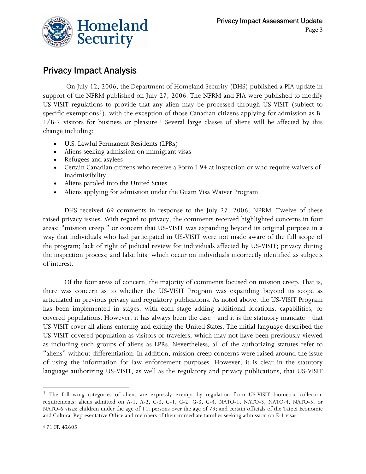

### Privacy Impact Analysis

 On July 12, 2006, the Department of Homeland Security (DHS) published a PIA update in support of the NPRM published on July 27, 2006. The NPRM and PIA were published to modify US-VISIT regulations to provide that any alien may be processed through US-VISIT (subject to specific exemptions<sup>[3](#page-2-0)</sup>), with the exception of those Canadian citizens applying for admission as B-1/B-2 visitors for business or pleasure.[4](#page-2-1) Several large classes of aliens will be affected by this change including:

- U.S. Lawful Permanent Residents (LPRs)
- Aliens seeking admission on immigrant visas
- Refugees and asylees
- Certain Canadian citizens who receive a Form I-94 at inspection or who require waivers of inadmissibility
- Aliens paroled into the United States
- Aliens applying for admission under the Guam Visa Waiver Program

DHS received 69 comments in response to the July 27, 2006, NPRM. Twelve of these raised privacy issues. With regard to privacy, the comments received highlighted concerns in four areas: "mission creep," or concern that US-VISIT was expanding beyond its original purpose in a way that individuals who had participated in US-VISIT were not made aware of the full scope of the program; lack of right of judicial review for individuals affected by US-VISIT; privacy during the inspection process; and false hits, which occur on individuals incorrectly identified as subjects of interest.

Of the four areas of concern, the majority of comments focused on mission creep. That is, there was concern as to whether the US-VISIT Program was expanding beyond its scope as articulated in previous privacy and regulatory publications. As noted above, the US-VISIT Program has been implemented in stages, with each stage adding additional locations, capabilities, or covered populations. However, it has always been the case—and it is the statutory mandate—that US-VISIT cover all aliens entering and exiting the United States. The initial language described the US-VISIT-covered population as visitors or travelers, which may not have been previously viewed as including such groups of aliens as LPRs. Nevertheless, all of the authorizing statutes refer to "aliens" without differentiation. In addition, mission creep concerns were raised around the issue of using the information for law enforcement purposes. However, it is clear in the statutory language authorizing US-VISIT, as well as the regulatory and privacy publications, that US-VISIT

<u> 1989 - Johann Stein, marwolaethau a bhann an t-Amhair Aonaichte an t-Amhair Aonaichte an t-Amhair Aonaichte a</u>

<span id="page-2-1"></span><span id="page-2-0"></span><sup>&</sup>lt;sup>3</sup> The following categories of aliens are expressly exempt by regulation from US-VISIT biometric collection requirements: aliens admitted on A-1, A-2, C-3, G-1, G-2, G-3, G-4, NATO-1, NATO-3, NATO-4, NATO-5, or NATO-6 visas; children under the age of 14; persons over the age of 79; and certain officials of the Taipei Economic and Cultural Representative Office and members of their immediate families seeking admission on E-1 visas.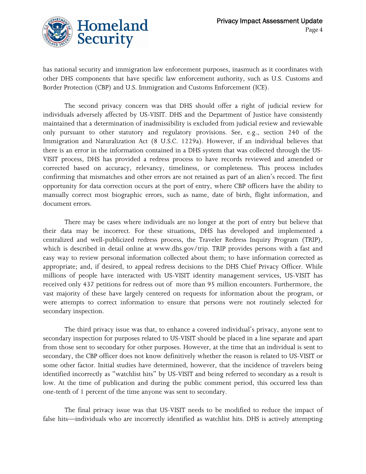

has national security and immigration law enforcement purposes, inasmuch as it coordinates with other DHS components that have specific law enforcement authority, such as U.S. Customs and Border Protection (CBP) and U.S. Immigration and Customs Enforcement (ICE).

The second privacy concern was that DHS should offer a right of judicial review for individuals adversely affected by US-VISIT. DHS and the Department of Justice have consistently maintained that a determination of inadmissibility is excluded from judicial review and reviewable only pursuant to other statutory and regulatory provisions. See, e.g., section 240 of the Immigration and Naturalization Act (8 U.S.C. 1229a). However, if an individual believes that there is an error in the information contained in a DHS system that was collected through the US-VISIT process, DHS has provided a redress process to have records reviewed and amended or corrected based on accuracy, relevancy, timeliness, or completeness. This process includes confirming that mismatches and other errors are not retained as part of an alien's record. The first opportunity for data correction occurs at the port of entry, where CBP officers have the ability to manually correct most biographic errors, such as name, date of birth, flight information, and document errors.

There may be cases where individuals are no longer at the port of entry but believe that their data may be incorrect. For these situations, DHS has developed and implemented a centralized and well-publicized redress process, the Traveler Redress Inquiry Program (TRIP), which is described in detail online at www.dhs.gov/trip. TRIP provides persons with a fast and easy way to review personal information collected about them; to have information corrected as appropriate; and, if desired, to appeal redress decisions to the DHS Chief Privacy Officer. While millions of people have interacted with US-VISIT identity management services, US-VISIT has received only 437 petitions for redress out of more than 95 million encounters. Furthermore, the vast majority of these have largely centered on requests for information about the program, or were attempts to correct information to ensure that persons were not routinely selected for secondary inspection.

The third privacy issue was that, to enhance a covered individual's privacy, anyone sent to secondary inspection for purposes related to US-VISIT should be placed in a line separate and apart from those sent to secondary for other purposes. However, at the time that an individual is sent to secondary, the CBP officer does not know definitively whether the reason is related to US-VISIT or some other factor. Initial studies have determined, however, that the incidence of travelers being identified incorrectly as "watchlist hits" by US-VISIT and being referred to secondary as a result is low. At the time of publication and during the public comment period, this occurred less than one-tenth of 1 percent of the time anyone was sent to secondary.

The final privacy issue was that US-VISIT needs to be modified to reduce the impact of false hits—individuals who are incorrectly identified as watchlist hits. DHS is actively attempting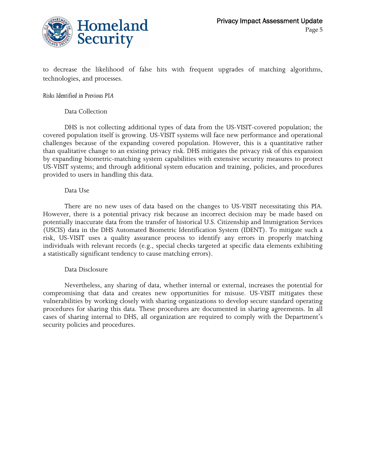

to decrease the likelihood of false hits with frequent upgrades of matching algorithms, technologies, and processes.

#### *Risks Identified in Previous PIA*

#### Data Collection

 DHS is not collecting additional types of data from the US-VISIT-covered population; the covered population itself is growing. US-VISIT systems will face new performance and operational challenges because of the expanding covered population. However, this is a quantitative rather than qualitative change to an existing privacy risk. DHS mitigates the privacy risk of this expansion by expanding biometric-matching system capabilities with extensive security measures to protect US-VISIT systems; and through additional system education and training, policies, and procedures provided to users in handling this data.

#### Data Use

 There are no new uses of data based on the changes to US-VISIT necessitating this PIA. However, there is a potential privacy risk because an incorrect decision may be made based on potentially inaccurate data from the transfer of historical U.S. Citizenship and Immigration Services (USCIS) data in the DHS Automated Biometric Identification System (IDENT). To mitigate such a risk, US-VISIT uses a quality assurance process to identify any errors in properly matching individuals with relevant records (e.g., special checks targeted at specific data elements exhibiting a statistically significant tendency to cause matching errors).

#### Data Disclosure

 Nevertheless, any sharing of data, whether internal or external, increases the potential for compromising that data and creates new opportunities for misuse. US-VISIT mitigates these vulnerabilities by working closely with sharing organizations to develop secure standard operating procedures for sharing this data. These procedures are documented in sharing agreements. In all cases of sharing internal to DHS, all organization are required to comply with the Department's security policies and procedures.